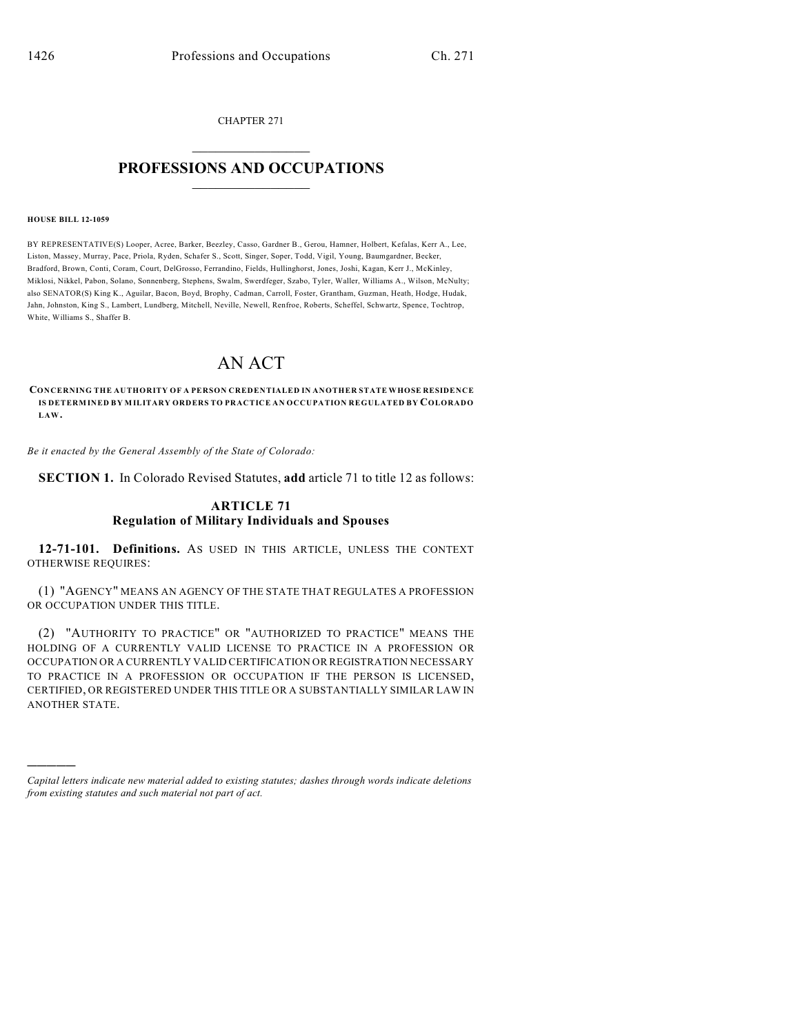CHAPTER 271

## $\mathcal{L}_\text{max}$  . The set of the set of the set of the set of the set of the set of the set of the set of the set of the set of the set of the set of the set of the set of the set of the set of the set of the set of the set **PROFESSIONS AND OCCUPATIONS**  $\frac{1}{2}$  ,  $\frac{1}{2}$  ,  $\frac{1}{2}$  ,  $\frac{1}{2}$  ,  $\frac{1}{2}$  ,  $\frac{1}{2}$

#### **HOUSE BILL 12-1059**

)))))

BY REPRESENTATIVE(S) Looper, Acree, Barker, Beezley, Casso, Gardner B., Gerou, Hamner, Holbert, Kefalas, Kerr A., Lee, Liston, Massey, Murray, Pace, Priola, Ryden, Schafer S., Scott, Singer, Soper, Todd, Vigil, Young, Baumgardner, Becker, Bradford, Brown, Conti, Coram, Court, DelGrosso, Ferrandino, Fields, Hullinghorst, Jones, Joshi, Kagan, Kerr J., McKinley, Miklosi, Nikkel, Pabon, Solano, Sonnenberg, Stephens, Swalm, Swerdfeger, Szabo, Tyler, Waller, Williams A., Wilson, McNulty; also SENATOR(S) King K., Aguilar, Bacon, Boyd, Brophy, Cadman, Carroll, Foster, Grantham, Guzman, Heath, Hodge, Hudak, Jahn, Johnston, King S., Lambert, Lundberg, Mitchell, Neville, Newell, Renfroe, Roberts, Scheffel, Schwartz, Spence, Tochtrop, White, Williams S., Shaffer B.

# AN ACT

**CONCERNING THE AUTHORITY OF A PERSON CREDENTIALED IN ANOTHER STATE WHOSE RESIDENCE IS DETERMINED BY MILITARY ORDERS TO PRACTICE AN OCCUPATION REGULATED BY COLORADO LAW.**

*Be it enacted by the General Assembly of the State of Colorado:*

**SECTION 1.** In Colorado Revised Statutes, **add** article 71 to title 12 as follows:

### **ARTICLE 71 Regulation of Military Individuals and Spouses**

**12-71-101. Definitions.** AS USED IN THIS ARTICLE, UNLESS THE CONTEXT OTHERWISE REQUIRES:

(1) "AGENCY" MEANS AN AGENCY OF THE STATE THAT REGULATES A PROFESSION OR OCCUPATION UNDER THIS TITLE.

(2) "AUTHORITY TO PRACTICE" OR "AUTHORIZED TO PRACTICE" MEANS THE HOLDING OF A CURRENTLY VALID LICENSE TO PRACTICE IN A PROFESSION OR OCCUPATION OR A CURRENTLY VALID CERTIFICATION OR REGISTRATION NECESSARY TO PRACTICE IN A PROFESSION OR OCCUPATION IF THE PERSON IS LICENSED, CERTIFIED, OR REGISTERED UNDER THIS TITLE OR A SUBSTANTIALLY SIMILAR LAW IN ANOTHER STATE.

*Capital letters indicate new material added to existing statutes; dashes through words indicate deletions from existing statutes and such material not part of act.*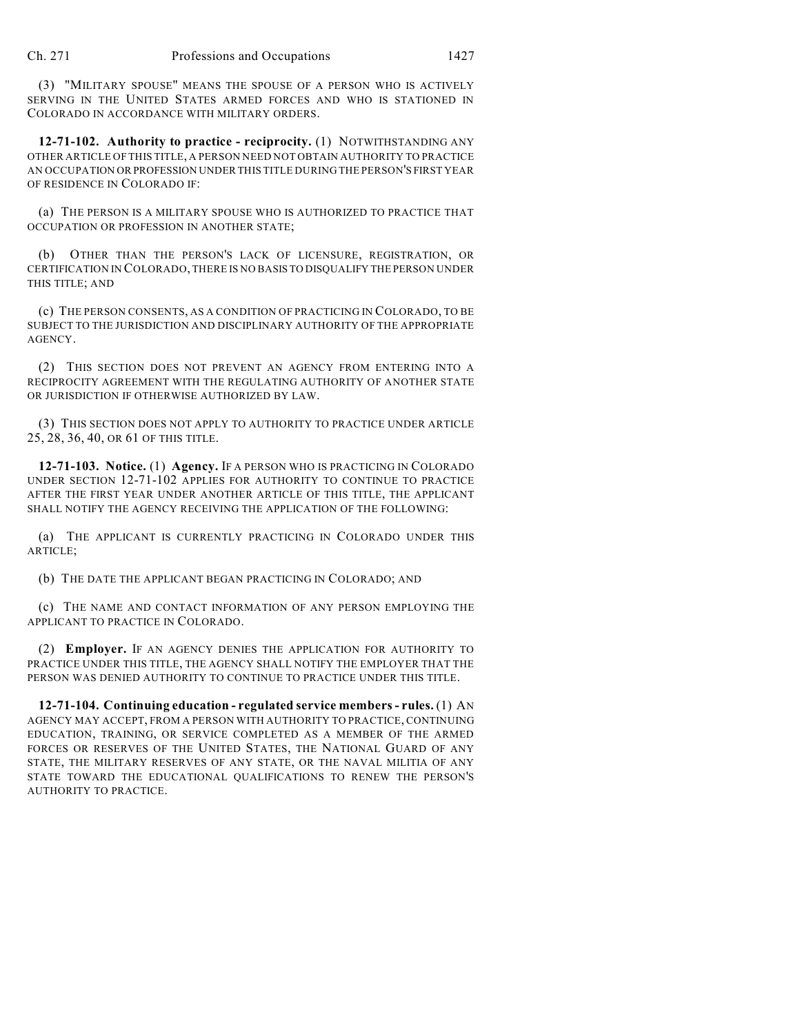(3) "MILITARY SPOUSE" MEANS THE SPOUSE OF A PERSON WHO IS ACTIVELY SERVING IN THE UNITED STATES ARMED FORCES AND WHO IS STATIONED IN COLORADO IN ACCORDANCE WITH MILITARY ORDERS.

**12-71-102. Authority to practice - reciprocity.** (1) NOTWITHSTANDING ANY OTHER ARTICLE OF THIS TITLE, A PERSON NEED NOT OBTAIN AUTHORITY TO PRACTICE AN OCCUPATION OR PROFESSION UNDER THIS TITLE DURING THE PERSON'S FIRST YEAR OF RESIDENCE IN COLORADO IF:

(a) THE PERSON IS A MILITARY SPOUSE WHO IS AUTHORIZED TO PRACTICE THAT OCCUPATION OR PROFESSION IN ANOTHER STATE;

(b) OTHER THAN THE PERSON'S LACK OF LICENSURE, REGISTRATION, OR CERTIFICATION IN COLORADO, THERE IS NO BASIS TO DISQUALIFY THE PERSON UNDER THIS TITLE; AND

(c) THE PERSON CONSENTS, AS A CONDITION OF PRACTICING IN COLORADO, TO BE SUBJECT TO THE JURISDICTION AND DISCIPLINARY AUTHORITY OF THE APPROPRIATE AGENCY.

(2) THIS SECTION DOES NOT PREVENT AN AGENCY FROM ENTERING INTO A RECIPROCITY AGREEMENT WITH THE REGULATING AUTHORITY OF ANOTHER STATE OR JURISDICTION IF OTHERWISE AUTHORIZED BY LAW.

(3) THIS SECTION DOES NOT APPLY TO AUTHORITY TO PRACTICE UNDER ARTICLE 25, 28, 36, 40, OR 61 OF THIS TITLE.

**12-71-103. Notice.** (1) **Agency.** IF A PERSON WHO IS PRACTICING IN COLORADO UNDER SECTION 12-71-102 APPLIES FOR AUTHORITY TO CONTINUE TO PRACTICE AFTER THE FIRST YEAR UNDER ANOTHER ARTICLE OF THIS TITLE, THE APPLICANT SHALL NOTIFY THE AGENCY RECEIVING THE APPLICATION OF THE FOLLOWING:

(a) THE APPLICANT IS CURRENTLY PRACTICING IN COLORADO UNDER THIS ARTICLE;

(b) THE DATE THE APPLICANT BEGAN PRACTICING IN COLORADO; AND

(c) THE NAME AND CONTACT INFORMATION OF ANY PERSON EMPLOYING THE APPLICANT TO PRACTICE IN COLORADO.

(2) **Employer.** IF AN AGENCY DENIES THE APPLICATION FOR AUTHORITY TO PRACTICE UNDER THIS TITLE, THE AGENCY SHALL NOTIFY THE EMPLOYER THAT THE PERSON WAS DENIED AUTHORITY TO CONTINUE TO PRACTICE UNDER THIS TITLE.

**12-71-104. Continuing education - regulated service members- rules.** (1) AN AGENCY MAY ACCEPT, FROM A PERSON WITH AUTHORITY TO PRACTICE, CONTINUING EDUCATION, TRAINING, OR SERVICE COMPLETED AS A MEMBER OF THE ARMED FORCES OR RESERVES OF THE UNITED STATES, THE NATIONAL GUARD OF ANY STATE, THE MILITARY RESERVES OF ANY STATE, OR THE NAVAL MILITIA OF ANY STATE TOWARD THE EDUCATIONAL QUALIFICATIONS TO RENEW THE PERSON'S AUTHORITY TO PRACTICE.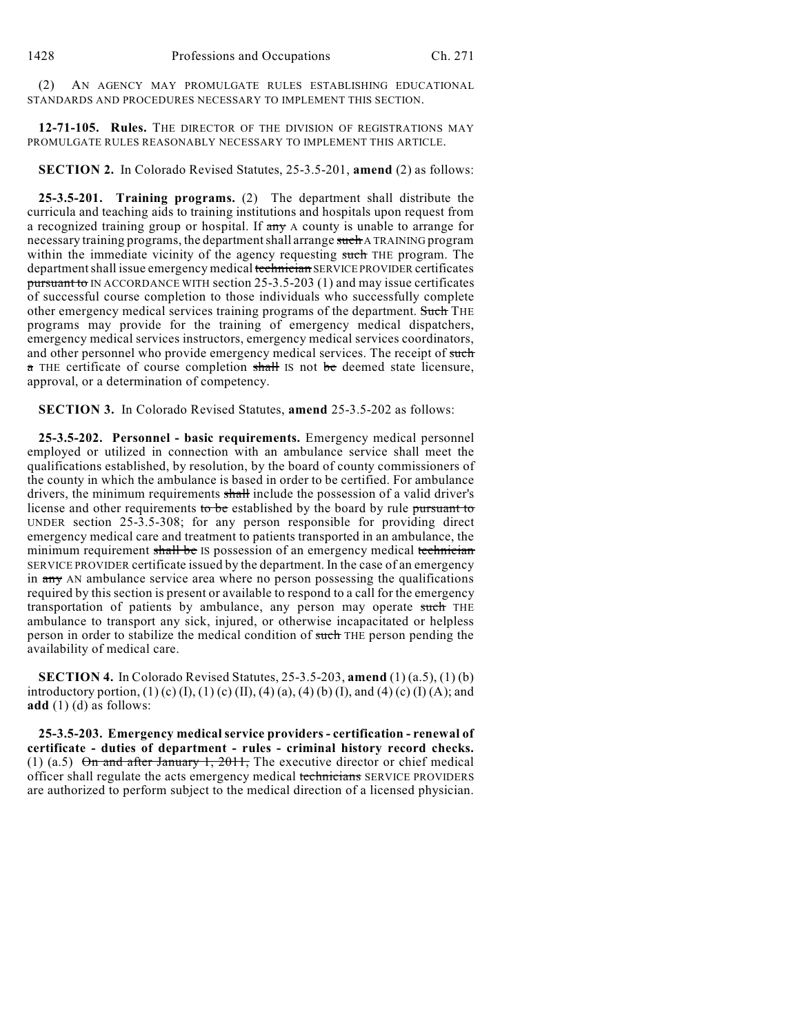(2) AN AGENCY MAY PROMULGATE RULES ESTABLISHING EDUCATIONAL STANDARDS AND PROCEDURES NECESSARY TO IMPLEMENT THIS SECTION.

**12-71-105. Rules.** THE DIRECTOR OF THE DIVISION OF REGISTRATIONS MAY PROMULGATE RULES REASONABLY NECESSARY TO IMPLEMENT THIS ARTICLE.

**SECTION 2.** In Colorado Revised Statutes, 25-3.5-201, **amend** (2) as follows:

**25-3.5-201. Training programs.** (2) The department shall distribute the curricula and teaching aids to training institutions and hospitals upon request from a recognized training group or hospital. If  $\frac{a}{x}$  A county is unable to arrange for necessary training programs, the departmentshall arrange such A TRAINING program within the immediate vicinity of the agency requesting such THE program. The department shall issue emergency medical technician SERVICE PROVIDER certificates pursuant to IN ACCORDANCE WITH section 25-3.5-203 (1) and may issue certificates of successful course completion to those individuals who successfully complete other emergency medical services training programs of the department. Such THE programs may provide for the training of emergency medical dispatchers, emergency medical services instructors, emergency medical services coordinators, and other personnel who provide emergency medical services. The receipt of such a THE certificate of course completion shall IS not be deemed state licensure, approval, or a determination of competency.

**SECTION 3.** In Colorado Revised Statutes, **amend** 25-3.5-202 as follows:

**25-3.5-202. Personnel - basic requirements.** Emergency medical personnel employed or utilized in connection with an ambulance service shall meet the qualifications established, by resolution, by the board of county commissioners of the county in which the ambulance is based in order to be certified. For ambulance drivers, the minimum requirements shall include the possession of a valid driver's license and other requirements to be established by the board by rule pursuant to UNDER section 25-3.5-308; for any person responsible for providing direct emergency medical care and treatment to patients transported in an ambulance, the minimum requirement shall be IS possession of an emergency medical technician SERVICE PROVIDER certificate issued by the department. In the case of an emergency in any AN ambulance service area where no person possessing the qualifications required by this section is present or available to respond to a call for the emergency transportation of patients by ambulance, any person may operate such THE ambulance to transport any sick, injured, or otherwise incapacitated or helpless person in order to stabilize the medical condition of such THE person pending the availability of medical care.

**SECTION 4.** In Colorado Revised Statutes, 25-3.5-203, **amend** (1) (a.5), (1) (b) introductory portion, (1) (c) (I), (1) (c) (II), (4) (a), (4) (b) (I), and (4) (c) (I) (A); and **add** (1) (d) as follows:

**25-3.5-203. Emergency medical service providers - certification - renewal of certificate - duties of department - rules - criminal history record checks.** (1) (a.5) On and after January 1, 2011, The executive director or chief medical officer shall regulate the acts emergency medical technicians SERVICE PROVIDERS are authorized to perform subject to the medical direction of a licensed physician.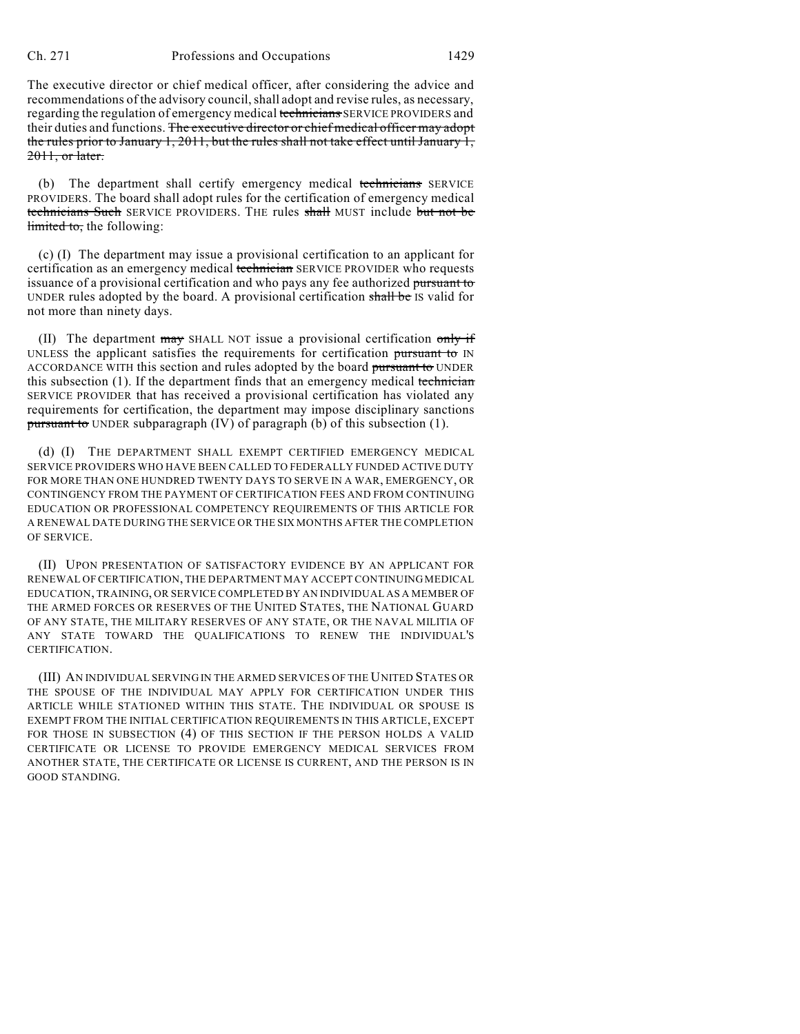The executive director or chief medical officer, after considering the advice and recommendations of the advisory council, shall adopt and revise rules, as necessary, regarding the regulation of emergency medical technicians SERVICE PROVIDERS and their duties and functions. The executive director or chief medical officer may adopt the rules prior to January 1, 2011, but the rules shall not take effect until January 1, 2011, or later.

(b) The department shall certify emergency medical technicians SERVICE PROVIDERS. The board shall adopt rules for the certification of emergency medical technicians Such SERVICE PROVIDERS. THE rules shall MUST include but not be limited to, the following:

(c) (I) The department may issue a provisional certification to an applicant for certification as an emergency medical technician SERVICE PROVIDER who requests issuance of a provisional certification and who pays any fee authorized pursuant to UNDER rules adopted by the board. A provisional certification shall be IS valid for not more than ninety days.

(II) The department  $\frac{m}{dy}$  SHALL NOT issue a provisional certification  $\frac{m}{y}$  if UNLESS the applicant satisfies the requirements for certification pursuant to IN ACCORDANCE WITH this section and rules adopted by the board pursuant to UNDER this subsection  $(1)$ . If the department finds that an emergency medical technician SERVICE PROVIDER that has received a provisional certification has violated any requirements for certification, the department may impose disciplinary sanctions pursuant to UNDER subparagraph (IV) of paragraph (b) of this subsection (1).

(d) (I) THE DEPARTMENT SHALL EXEMPT CERTIFIED EMERGENCY MEDICAL SERVICE PROVIDERS WHO HAVE BEEN CALLED TO FEDERALLY FUNDED ACTIVE DUTY FOR MORE THAN ONE HUNDRED TWENTY DAYS TO SERVE IN A WAR, EMERGENCY, OR CONTINGENCY FROM THE PAYMENT OF CERTIFICATION FEES AND FROM CONTINUING EDUCATION OR PROFESSIONAL COMPETENCY REQUIREMENTS OF THIS ARTICLE FOR A RENEWAL DATE DURING THE SERVICE OR THE SIX MONTHS AFTER THE COMPLETION OF SERVICE.

(II) UPON PRESENTATION OF SATISFACTORY EVIDENCE BY AN APPLICANT FOR RENEWAL OF CERTIFICATION, THE DEPARTMENT MAY ACCEPT CONTINUING MEDICAL EDUCATION, TRAINING, OR SERVICE COMPLETED BY AN INDIVIDUAL AS A MEMBER OF THE ARMED FORCES OR RESERVES OF THE UNITED STATES, THE NATIONAL GUARD OF ANY STATE, THE MILITARY RESERVES OF ANY STATE, OR THE NAVAL MILITIA OF ANY STATE TOWARD THE QUALIFICATIONS TO RENEW THE INDIVIDUAL'S CERTIFICATION.

(III) AN INDIVIDUAL SERVING IN THE ARMED SERVICES OF THE UNITED STATES OR THE SPOUSE OF THE INDIVIDUAL MAY APPLY FOR CERTIFICATION UNDER THIS ARTICLE WHILE STATIONED WITHIN THIS STATE. THE INDIVIDUAL OR SPOUSE IS EXEMPT FROM THE INITIAL CERTIFICATION REQUIREMENTS IN THIS ARTICLE, EXCEPT FOR THOSE IN SUBSECTION (4) OF THIS SECTION IF THE PERSON HOLDS A VALID CERTIFICATE OR LICENSE TO PROVIDE EMERGENCY MEDICAL SERVICES FROM ANOTHER STATE, THE CERTIFICATE OR LICENSE IS CURRENT, AND THE PERSON IS IN GOOD STANDING.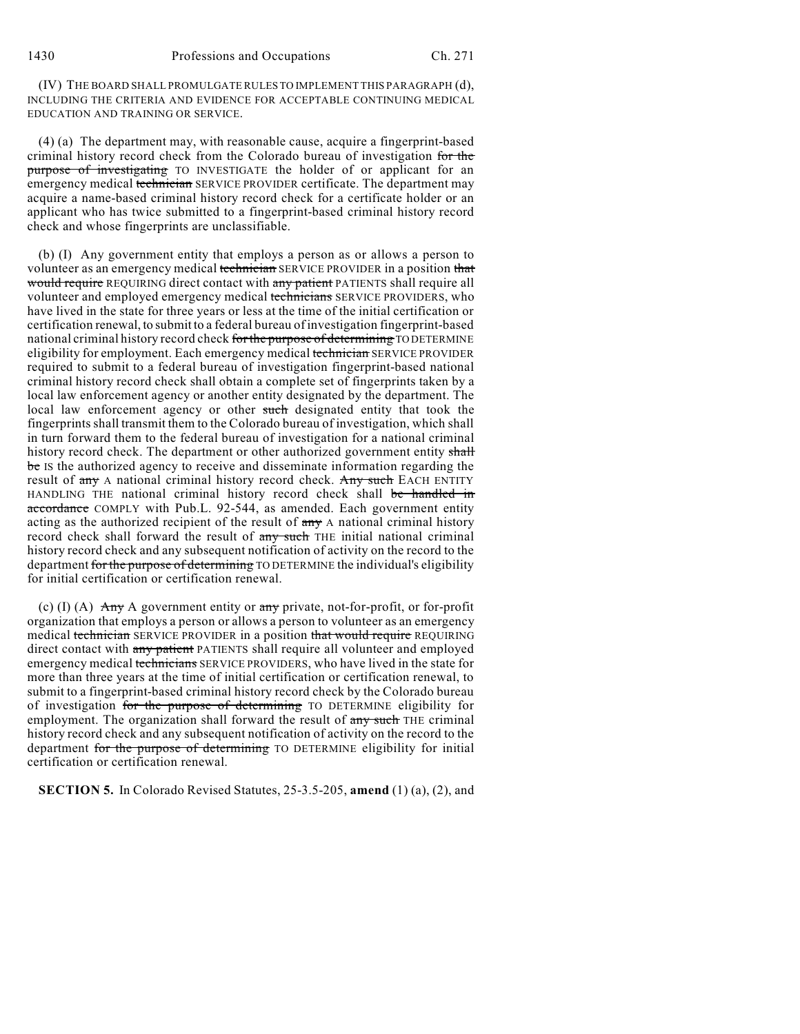1430 Professions and Occupations Ch. 271

(IV) THE BOARD SHALL PROMULGATE RULES TO IMPLEMENT THIS PARAGRAPH (d), INCLUDING THE CRITERIA AND EVIDENCE FOR ACCEPTABLE CONTINUING MEDICAL EDUCATION AND TRAINING OR SERVICE.

(4) (a) The department may, with reasonable cause, acquire a fingerprint-based criminal history record check from the Colorado bureau of investigation for the purpose of investigating TO INVESTIGATE the holder of or applicant for an emergency medical technician SERVICE PROVIDER certificate. The department may acquire a name-based criminal history record check for a certificate holder or an applicant who has twice submitted to a fingerprint-based criminal history record check and whose fingerprints are unclassifiable.

(b) (I) Any government entity that employs a person as or allows a person to volunteer as an emergency medical technician SERVICE PROVIDER in a position that would require REQUIRING direct contact with any patient PATIENTS shall require all volunteer and employed emergency medical technicians SERVICE PROVIDERS, who have lived in the state for three years or less at the time of the initial certification or certification renewal, to submit to a federal bureau of investigation fingerprint-based national criminal history record check for the purpose of determining TO DETERMINE eligibility for employment. Each emergency medical technician SERVICE PROVIDER required to submit to a federal bureau of investigation fingerprint-based national criminal history record check shall obtain a complete set of fingerprints taken by a local law enforcement agency or another entity designated by the department. The local law enforcement agency or other such designated entity that took the fingerprints shall transmit them to the Colorado bureau of investigation, which shall in turn forward them to the federal bureau of investigation for a national criminal history record check. The department or other authorized government entity shall be IS the authorized agency to receive and disseminate information regarding the result of any A national criminal history record check. Any such EACH ENTITY HANDLING THE national criminal history record check shall be handled in accordance COMPLY with Pub.L. 92-544, as amended. Each government entity acting as the authorized recipient of the result of  $\frac{any}{x}$  A national criminal history record check shall forward the result of any such THE initial national criminal history record check and any subsequent notification of activity on the record to the department for the purpose of determining TO DETERMINE the individual's eligibility for initial certification or certification renewal.

(c) (I) (A)  $\overrightarrow{Any}$  A government entity or any private, not-for-profit, or for-profit organization that employs a person or allows a person to volunteer as an emergency medical technician SERVICE PROVIDER in a position that would require REQUIRING direct contact with any patient PATIENTS shall require all volunteer and employed emergency medical technicians SERVICE PROVIDERS, who have lived in the state for more than three years at the time of initial certification or certification renewal, to submit to a fingerprint-based criminal history record check by the Colorado bureau of investigation for the purpose of determining TO DETERMINE eligibility for employment. The organization shall forward the result of any such THE criminal history record check and any subsequent notification of activity on the record to the department for the purpose of determining TO DETERMINE eligibility for initial certification or certification renewal.

**SECTION 5.** In Colorado Revised Statutes, 25-3.5-205, **amend** (1) (a), (2), and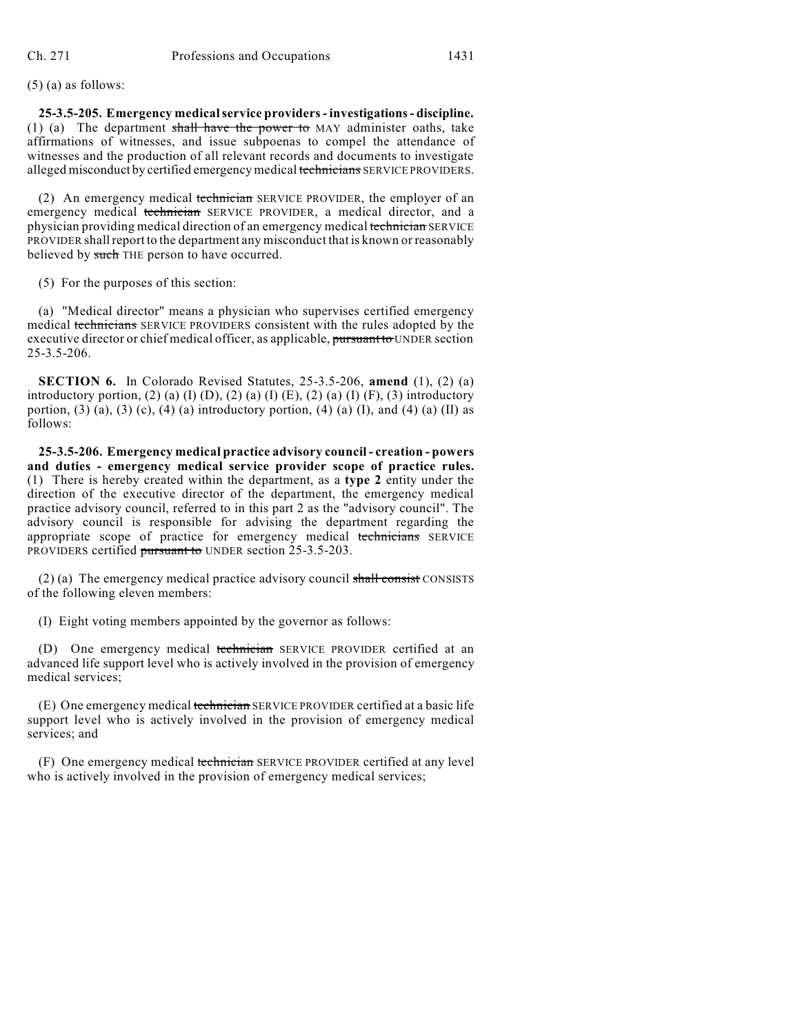(5) (a) as follows:

**25-3.5-205. Emergency medicalservice providers- investigations - discipline.** (1) (a) The department shall have the power to MAY administer oaths, take affirmations of witnesses, and issue subpoenas to compel the attendance of witnesses and the production of all relevant records and documents to investigate alleged misconduct by certified emergency medical technicians SERVICE PROVIDERS.

(2) An emergency medical technician SERVICE PROVIDER, the employer of an emergency medical technician SERVICE PROVIDER, a medical director, and a physician providing medical direction of an emergency medical technician SERVICE PROVIDER shall report to the department any misconduct that is known or reasonably believed by such THE person to have occurred.

(5) For the purposes of this section:

(a) "Medical director" means a physician who supervises certified emergency medical technicians SERVICE PROVIDERS consistent with the rules adopted by the executive director or chief medical officer, as applicable, pursuant to UNDER section 25-3.5-206.

**SECTION 6.** In Colorado Revised Statutes, 25-3.5-206, **amend** (1), (2) (a) introductory portion, (2) (a) (I) (D), (2) (a) (I) (E), (2) (a) (I) (F), (3) introductory portion, (3) (a), (3) (c), (4) (a) introductory portion, (4) (a) (I), and (4) (a) (II) as follows:

**25-3.5-206. Emergency medical practice advisory council - creation - powers and duties - emergency medical service provider scope of practice rules.** (1) There is hereby created within the department, as a **type 2** entity under the direction of the executive director of the department, the emergency medical practice advisory council, referred to in this part 2 as the "advisory council". The advisory council is responsible for advising the department regarding the appropriate scope of practice for emergency medical technicians SERVICE PROVIDERS certified pursuant to UNDER section 25-3.5-203.

(2) (a) The emergency medical practice advisory council shall consist CONSISTS of the following eleven members:

(I) Eight voting members appointed by the governor as follows:

(D) One emergency medical technician SERVICE PROVIDER certified at an advanced life support level who is actively involved in the provision of emergency medical services;

(E) One emergency medical technician SERVICE PROVIDER certified at a basic life support level who is actively involved in the provision of emergency medical services; and

(F) One emergency medical technician SERVICE PROVIDER certified at any level who is actively involved in the provision of emergency medical services;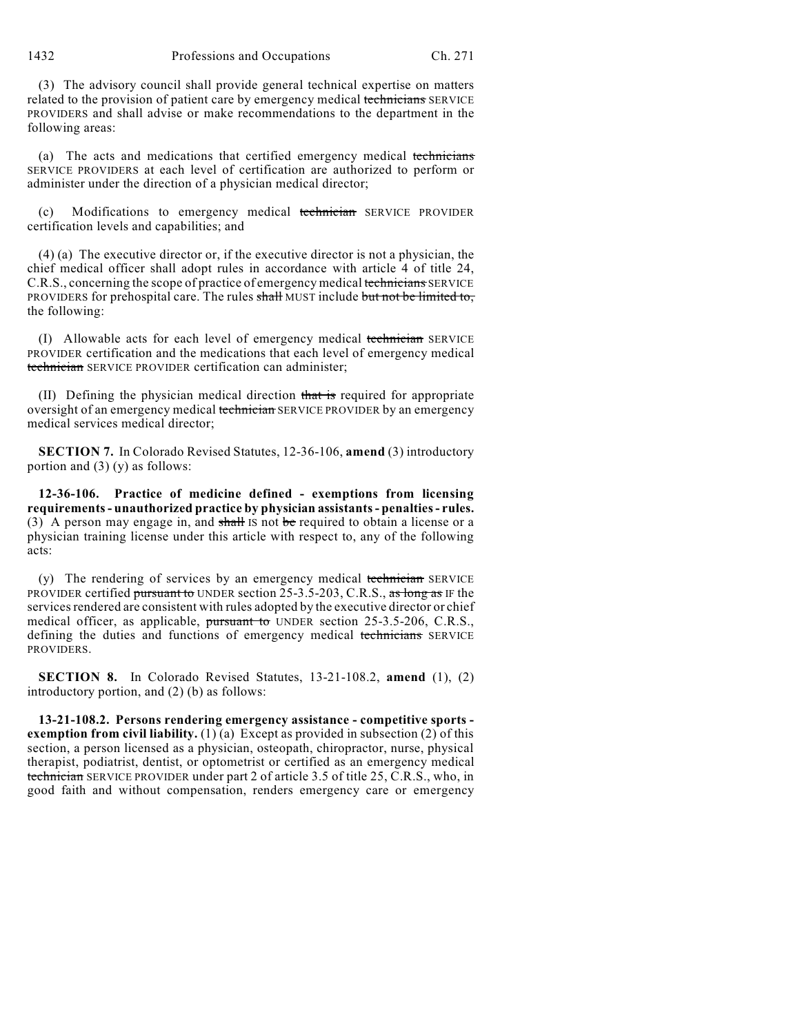1432 Professions and Occupations Ch. 271

(3) The advisory council shall provide general technical expertise on matters related to the provision of patient care by emergency medical technicians SERVICE PROVIDERS and shall advise or make recommendations to the department in the following areas:

(a) The acts and medications that certified emergency medical technicians SERVICE PROVIDERS at each level of certification are authorized to perform or administer under the direction of a physician medical director;

Modifications to emergency medical technician SERVICE PROVIDER certification levels and capabilities; and

(4) (a) The executive director or, if the executive director is not a physician, the chief medical officer shall adopt rules in accordance with article 4 of title 24, C.R.S., concerning the scope of practice of emergency medical technicians SERVICE PROVIDERS for prehospital care. The rules shall MUST include but not be limited to, the following:

(I) Allowable acts for each level of emergency medical technician SERVICE PROVIDER certification and the medications that each level of emergency medical technician SERVICE PROVIDER certification can administer;

(II) Defining the physician medical direction that is required for appropriate oversight of an emergency medical technician SERVICE PROVIDER by an emergency medical services medical director;

**SECTION 7.** In Colorado Revised Statutes, 12-36-106, **amend** (3) introductory portion and (3) (y) as follows:

**12-36-106. Practice of medicine defined - exemptions from licensing requirements- unauthorized practice by physician assistants- penalties- rules.** (3) A person may engage in, and  $s$ hall IS not be required to obtain a license or a physician training license under this article with respect to, any of the following acts:

 $(y)$  The rendering of services by an emergency medical technician SERVICE PROVIDER certified pursuant to UNDER section 25-3.5-203, C.R.S., as long as IF the services rendered are consistent with rules adopted by the executive director or chief medical officer, as applicable, pursuant to UNDER section 25-3.5-206, C.R.S., defining the duties and functions of emergency medical technicians SERVICE PROVIDERS.

**SECTION 8.** In Colorado Revised Statutes, 13-21-108.2, **amend** (1), (2) introductory portion, and (2) (b) as follows:

**13-21-108.2. Persons rendering emergency assistance - competitive sports exemption from civil liability.** (1) (a) Except as provided in subsection (2) of this section, a person licensed as a physician, osteopath, chiropractor, nurse, physical therapist, podiatrist, dentist, or optometrist or certified as an emergency medical technician SERVICE PROVIDER under part 2 of article 3.5 of title 25, C.R.S., who, in good faith and without compensation, renders emergency care or emergency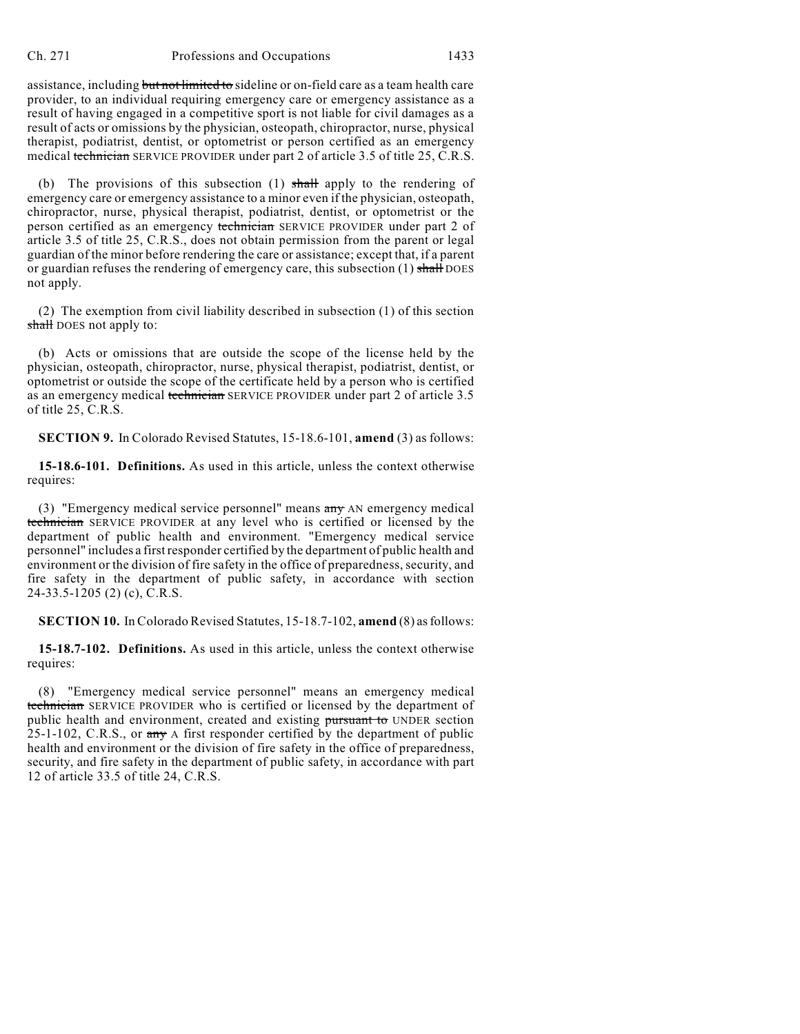assistance, including but not limited to sideline or on-field care as a team health care provider, to an individual requiring emergency care or emergency assistance as a result of having engaged in a competitive sport is not liable for civil damages as a result of acts or omissions by the physician, osteopath, chiropractor, nurse, physical therapist, podiatrist, dentist, or optometrist or person certified as an emergency medical technician SERVICE PROVIDER under part 2 of article 3.5 of title 25, C.R.S.

(b) The provisions of this subsection  $(1)$  shall apply to the rendering of emergency care or emergency assistance to a minor even if the physician, osteopath, chiropractor, nurse, physical therapist, podiatrist, dentist, or optometrist or the person certified as an emergency technician SERVICE PROVIDER under part 2 of article 3.5 of title 25, C.R.S., does not obtain permission from the parent or legal guardian of the minor before rendering the care or assistance; except that, if a parent or guardian refuses the rendering of emergency care, this subsection  $(1)$  shall DOES not apply.

(2) The exemption from civil liability described in subsection (1) of this section shall DOES not apply to:

(b) Acts or omissions that are outside the scope of the license held by the physician, osteopath, chiropractor, nurse, physical therapist, podiatrist, dentist, or optometrist or outside the scope of the certificate held by a person who is certified as an emergency medical technician SERVICE PROVIDER under part 2 of article 3.5 of title 25, C.R.S.

**SECTION 9.** In Colorado Revised Statutes, 15-18.6-101, **amend** (3) as follows:

**15-18.6-101. Definitions.** As used in this article, unless the context otherwise requires:

(3) "Emergency medical service personnel" means any AN emergency medical technician SERVICE PROVIDER at any level who is certified or licensed by the department of public health and environment. "Emergency medical service personnel" includes a first responder certified by the department of public health and environment or the division of fire safety in the office of preparedness, security, and fire safety in the department of public safety, in accordance with section 24-33.5-1205 (2) (c), C.R.S.

**SECTION 10.** In Colorado Revised Statutes, 15-18.7-102, **amend** (8) as follows:

**15-18.7-102. Definitions.** As used in this article, unless the context otherwise requires:

(8) "Emergency medical service personnel" means an emergency medical technician SERVICE PROVIDER who is certified or licensed by the department of public health and environment, created and existing pursuant to UNDER section 25-1-102, C.R.S., or any A first responder certified by the department of public health and environment or the division of fire safety in the office of preparedness, security, and fire safety in the department of public safety, in accordance with part 12 of article 33.5 of title 24, C.R.S.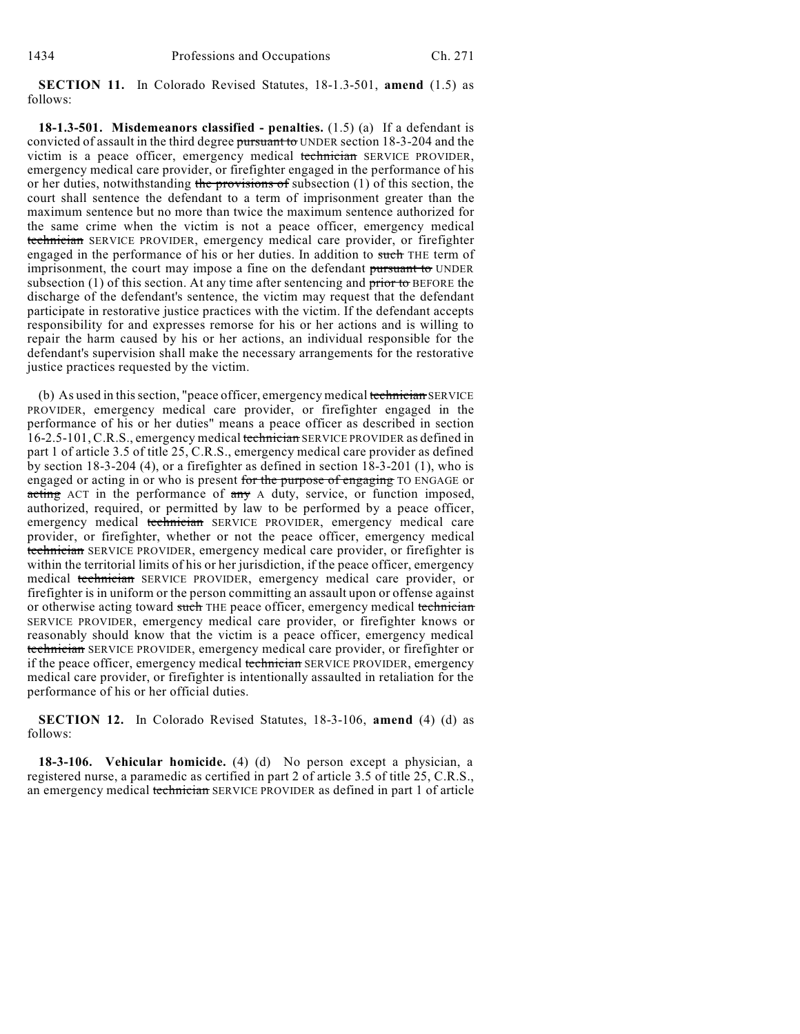**SECTION 11.** In Colorado Revised Statutes, 18-1.3-501, **amend** (1.5) as follows:

**18-1.3-501. Misdemeanors classified - penalties.** (1.5) (a) If a defendant is convicted of assault in the third degree pursuant to UNDER section 18-3-204 and the victim is a peace officer, emergency medical technician SERVICE PROVIDER, emergency medical care provider, or firefighter engaged in the performance of his or her duties, notwithstanding the provisions of subsection  $(1)$  of this section, the court shall sentence the defendant to a term of imprisonment greater than the maximum sentence but no more than twice the maximum sentence authorized for the same crime when the victim is not a peace officer, emergency medical technician SERVICE PROVIDER, emergency medical care provider, or firefighter engaged in the performance of his or her duties. In addition to such THE term of imprisonment, the court may impose a fine on the defendant pursuant to UNDER subsection  $(1)$  of this section. At any time after sentencing and prior to BEFORE the discharge of the defendant's sentence, the victim may request that the defendant participate in restorative justice practices with the victim. If the defendant accepts responsibility for and expresses remorse for his or her actions and is willing to repair the harm caused by his or her actions, an individual responsible for the defendant's supervision shall make the necessary arrangements for the restorative justice practices requested by the victim.

(b) As used in this section, "peace officer, emergency medical technician SERVICE PROVIDER, emergency medical care provider, or firefighter engaged in the performance of his or her duties" means a peace officer as described in section 16-2.5-101, C.R.S., emergency medical technician SERVICE PROVIDER as defined in part 1 of article 3.5 of title 25, C.R.S., emergency medical care provider as defined by section 18-3-204 (4), or a firefighter as defined in section 18-3-201 (1), who is engaged or acting in or who is present for the purpose of engaging TO ENGAGE or acting ACT in the performance of any A duty, service, or function imposed, authorized, required, or permitted by law to be performed by a peace officer, emergency medical technician SERVICE PROVIDER, emergency medical care provider, or firefighter, whether or not the peace officer, emergency medical technician SERVICE PROVIDER, emergency medical care provider, or firefighter is within the territorial limits of his or her jurisdiction, if the peace officer, emergency medical technician SERVICE PROVIDER, emergency medical care provider, or firefighter is in uniform or the person committing an assault upon or offense against or otherwise acting toward such THE peace officer, emergency medical technician SERVICE PROVIDER, emergency medical care provider, or firefighter knows or reasonably should know that the victim is a peace officer, emergency medical technician SERVICE PROVIDER, emergency medical care provider, or firefighter or if the peace officer, emergency medical technician SERVICE PROVIDER, emergency medical care provider, or firefighter is intentionally assaulted in retaliation for the performance of his or her official duties.

**SECTION 12.** In Colorado Revised Statutes, 18-3-106, **amend** (4) (d) as follows:

**18-3-106. Vehicular homicide.** (4) (d) No person except a physician, a registered nurse, a paramedic as certified in part 2 of article 3.5 of title 25, C.R.S., an emergency medical technician SERVICE PROVIDER as defined in part 1 of article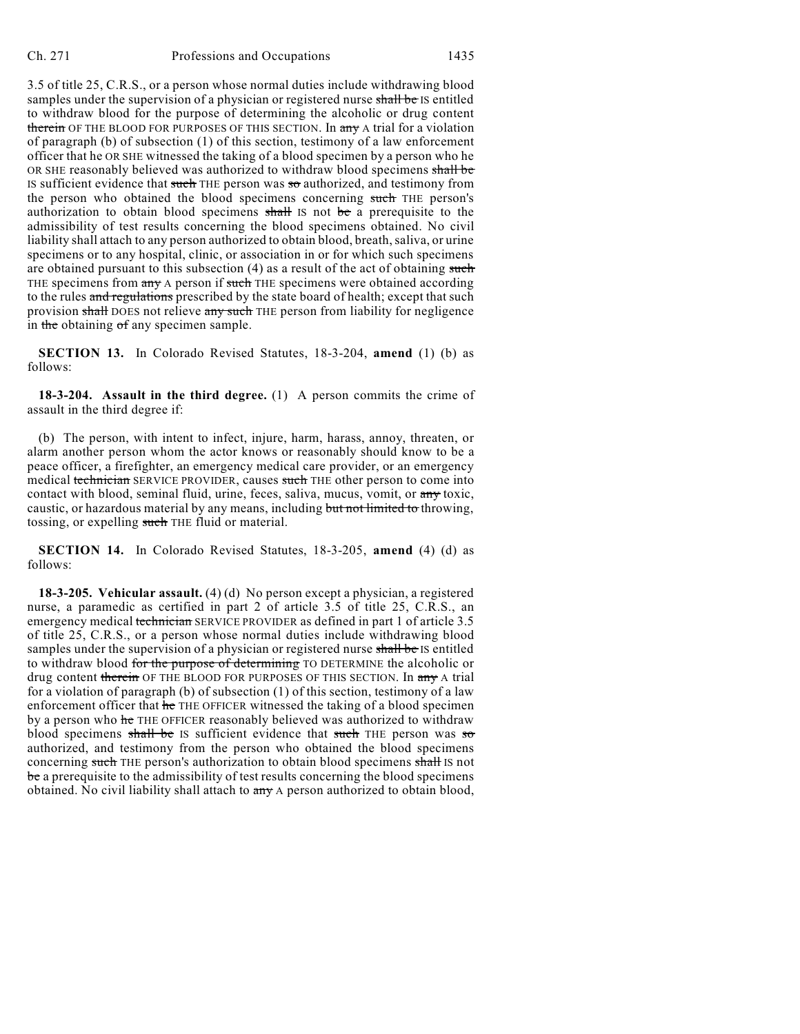3.5 of title 25, C.R.S., or a person whose normal duties include withdrawing blood samples under the supervision of a physician or registered nurse shall be IS entitled to withdraw blood for the purpose of determining the alcoholic or drug content therein OF THE BLOOD FOR PURPOSES OF THIS SECTION. In any A trial for a violation of paragraph (b) of subsection (1) of this section, testimony of a law enforcement officer that he OR SHE witnessed the taking of a blood specimen by a person who he OR SHE reasonably believed was authorized to withdraw blood specimens shall be IS sufficient evidence that such THE person was so authorized, and testimony from the person who obtained the blood specimens concerning such THE person's authorization to obtain blood specimens shall IS not be a prerequisite to the admissibility of test results concerning the blood specimens obtained. No civil liability shall attach to any person authorized to obtain blood, breath, saliva, or urine specimens or to any hospital, clinic, or association in or for which such specimens are obtained pursuant to this subsection (4) as a result of the act of obtaining such THE specimens from any A person if such THE specimens were obtained according to the rules and regulations prescribed by the state board of health; except that such provision shall DOES not relieve any such THE person from liability for negligence in the obtaining of any specimen sample.

**SECTION 13.** In Colorado Revised Statutes, 18-3-204, **amend** (1) (b) as follows:

**18-3-204. Assault in the third degree.** (1) A person commits the crime of assault in the third degree if:

(b) The person, with intent to infect, injure, harm, harass, annoy, threaten, or alarm another person whom the actor knows or reasonably should know to be a peace officer, a firefighter, an emergency medical care provider, or an emergency medical technician SERVICE PROVIDER, causes such THE other person to come into contact with blood, seminal fluid, urine, feces, saliva, mucus, vomit, or any toxic, caustic, or hazardous material by any means, including but not limited to throwing, tossing, or expelling such THE fluid or material.

**SECTION 14.** In Colorado Revised Statutes, 18-3-205, **amend** (4) (d) as follows:

**18-3-205. Vehicular assault.** (4) (d) No person except a physician, a registered nurse, a paramedic as certified in part 2 of article 3.5 of title 25, C.R.S., an emergency medical technician SERVICE PROVIDER as defined in part 1 of article 3.5 of title 25, C.R.S., or a person whose normal duties include withdrawing blood samples under the supervision of a physician or registered nurse shall be IS entitled to withdraw blood for the purpose of determining TO DETERMINE the alcoholic or drug content therein OF THE BLOOD FOR PURPOSES OF THIS SECTION. In any A trial for a violation of paragraph (b) of subsection (1) of this section, testimony of a law enforcement officer that he THE OFFICER witnessed the taking of a blood specimen by a person who he THE OFFICER reasonably believed was authorized to withdraw blood specimens shall be IS sufficient evidence that such THE person was so authorized, and testimony from the person who obtained the blood specimens concerning such THE person's authorization to obtain blood specimens shall IS not be a prerequisite to the admissibility of test results concerning the blood specimens obtained. No civil liability shall attach to any A person authorized to obtain blood,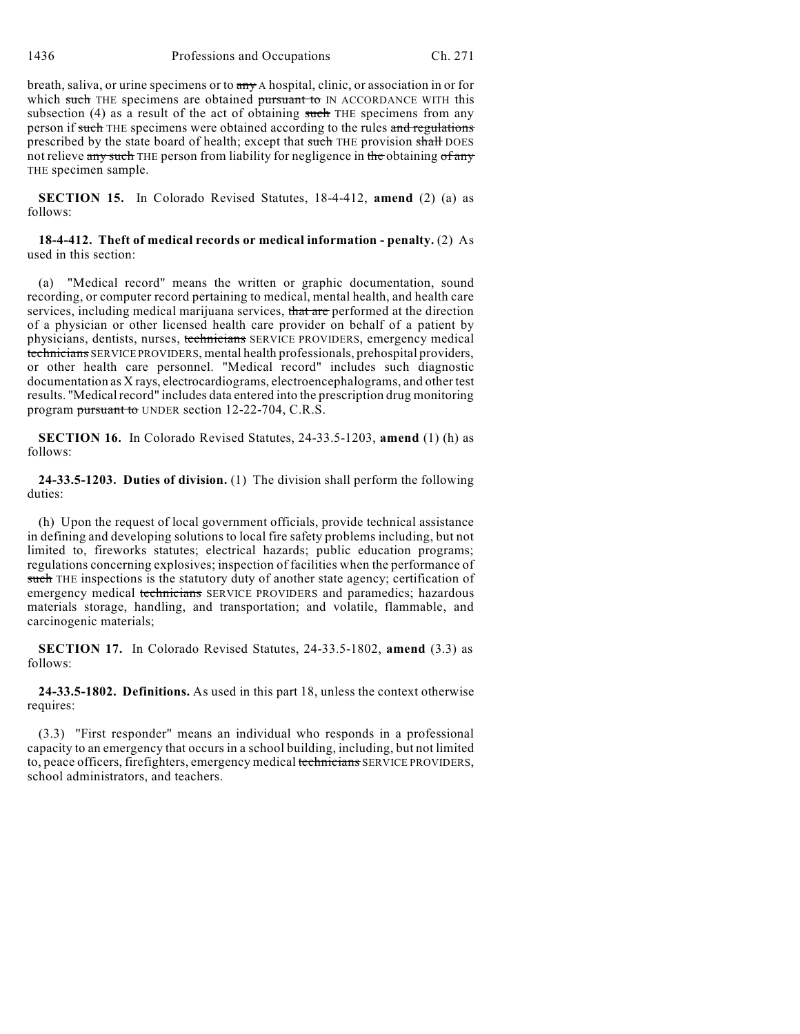breath, saliva, or urine specimens or to any A hospital, clinic, or association in or for which such THE specimens are obtained pursuant to IN ACCORDANCE WITH this subsection  $(4)$  as a result of the act of obtaining such THE specimens from any person if such THE specimens were obtained according to the rules and regulations prescribed by the state board of health; except that such THE provision shall DOES not relieve any such THE person from liability for negligence in the obtaining of any THE specimen sample.

**SECTION 15.** In Colorado Revised Statutes, 18-4-412, **amend** (2) (a) as follows:

### **18-4-412. Theft of medical records or medical information - penalty.** (2) As used in this section:

(a) "Medical record" means the written or graphic documentation, sound recording, or computer record pertaining to medical, mental health, and health care services, including medical marijuana services, that are performed at the direction of a physician or other licensed health care provider on behalf of a patient by physicians, dentists, nurses, technicians SERVICE PROVIDERS, emergency medical technicians SERVICE PROVIDERS, mental health professionals, prehospital providers, or other health care personnel. "Medical record" includes such diagnostic documentation as X rays, electrocardiograms, electroencephalograms, and other test results. "Medical record" includes data entered into the prescription drug monitoring program pursuant to UNDER section 12-22-704, C.R.S.

**SECTION 16.** In Colorado Revised Statutes, 24-33.5-1203, **amend** (1) (h) as follows:

**24-33.5-1203. Duties of division.** (1) The division shall perform the following duties:

(h) Upon the request of local government officials, provide technical assistance in defining and developing solutions to local fire safety problems including, but not limited to, fireworks statutes; electrical hazards; public education programs; regulations concerning explosives; inspection of facilities when the performance of such THE inspections is the statutory duty of another state agency; certification of emergency medical technicians SERVICE PROVIDERS and paramedics; hazardous materials storage, handling, and transportation; and volatile, flammable, and carcinogenic materials;

**SECTION 17.** In Colorado Revised Statutes, 24-33.5-1802, **amend** (3.3) as follows:

**24-33.5-1802. Definitions.** As used in this part 18, unless the context otherwise requires:

(3.3) "First responder" means an individual who responds in a professional capacity to an emergency that occurs in a school building, including, but not limited to, peace officers, firefighters, emergency medical technicians SERVICE PROVIDERS, school administrators, and teachers.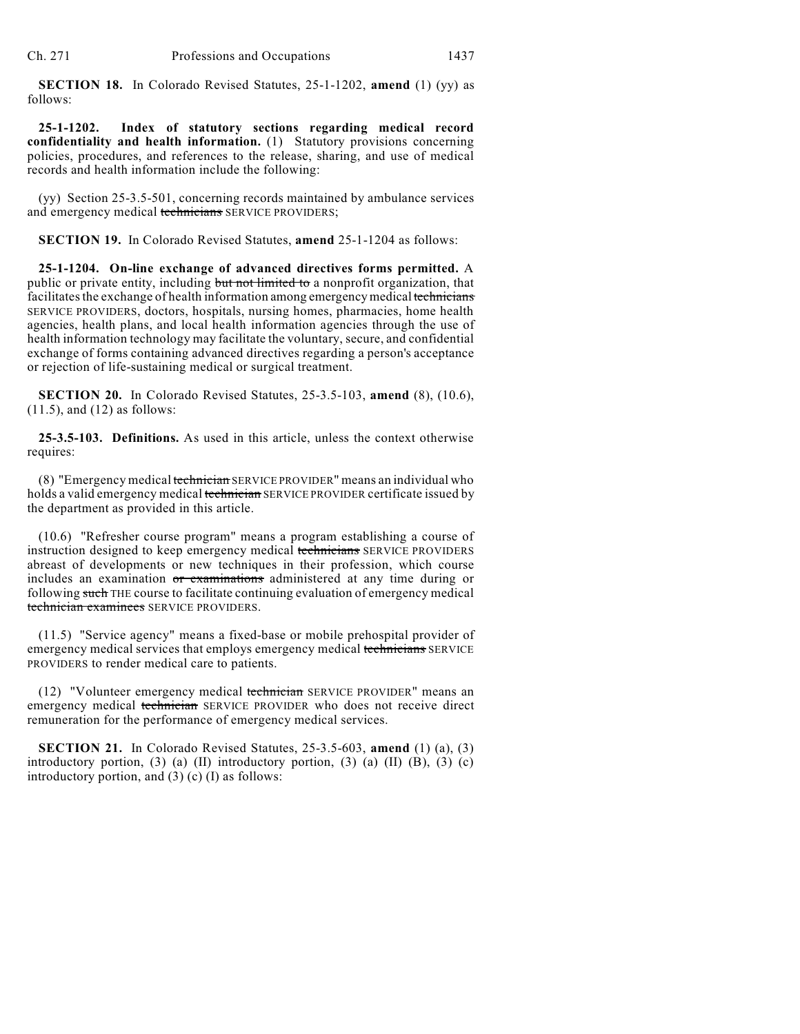**SECTION 18.** In Colorado Revised Statutes, 25-1-1202, **amend** (1) (yy) as follows:

**25-1-1202. Index of statutory sections regarding medical record confidentiality and health information.** (1) Statutory provisions concerning policies, procedures, and references to the release, sharing, and use of medical records and health information include the following:

(yy) Section 25-3.5-501, concerning records maintained by ambulance services and emergency medical technicians SERVICE PROVIDERS;

**SECTION 19.** In Colorado Revised Statutes, **amend** 25-1-1204 as follows:

**25-1-1204. On-line exchange of advanced directives forms permitted.** A public or private entity, including but not limited to a nonprofit organization, that facilitates the exchange of health information among emergency medical technicians SERVICE PROVIDERS, doctors, hospitals, nursing homes, pharmacies, home health agencies, health plans, and local health information agencies through the use of health information technology may facilitate the voluntary, secure, and confidential exchange of forms containing advanced directives regarding a person's acceptance or rejection of life-sustaining medical or surgical treatment.

**SECTION 20.** In Colorado Revised Statutes, 25-3.5-103, **amend** (8), (10.6), (11.5), and (12) as follows:

**25-3.5-103. Definitions.** As used in this article, unless the context otherwise requires:

(8) "Emergency medical technician SERVICE PROVIDER" means an individual who holds a valid emergency medical technician SERVICE PROVIDER certificate issued by the department as provided in this article.

(10.6) "Refresher course program" means a program establishing a course of instruction designed to keep emergency medical technicians SERVICE PROVIDERS abreast of developments or new techniques in their profession, which course includes an examination or examinations administered at any time during or following such THE course to facilitate continuing evaluation of emergency medical technician examinees SERVICE PROVIDERS.

(11.5) "Service agency" means a fixed-base or mobile prehospital provider of emergency medical services that employs emergency medical technicians SERVICE PROVIDERS to render medical care to patients.

(12) "Volunteer emergency medical technician SERVICE PROVIDER" means an emergency medical technician SERVICE PROVIDER who does not receive direct remuneration for the performance of emergency medical services.

**SECTION 21.** In Colorado Revised Statutes, 25-3.5-603, **amend** (1) (a), (3) introductory portion,  $(3)$  (a) (II) introductory portion,  $(3)$  (a) (II) (B),  $(3)$  (c) introductory portion, and (3) (c) (I) as follows: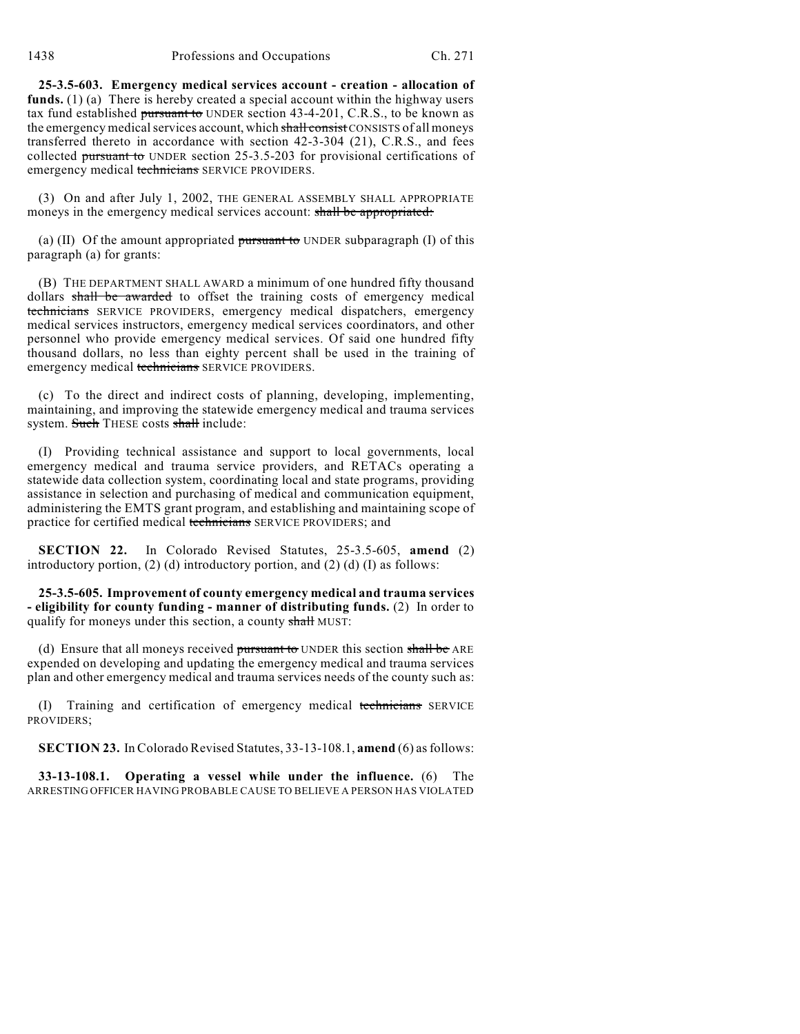**25-3.5-603. Emergency medical services account - creation - allocation of funds.** (1) (a) There is hereby created a special account within the highway users tax fund established pursuant to UNDER section  $43-4-201$ , C.R.S., to be known as the emergency medical services account, which shall consist CONSISTS of all moneys transferred thereto in accordance with section 42-3-304 (21), C.R.S., and fees collected pursuant to UNDER section 25-3.5-203 for provisional certifications of emergency medical technicians SERVICE PROVIDERS.

(3) On and after July 1, 2002, THE GENERAL ASSEMBLY SHALL APPROPRIATE moneys in the emergency medical services account: shall be appropriated:

(a) (II) Of the amount appropriated pursuant to UNDER subparagraph (I) of this paragraph (a) for grants:

(B) THE DEPARTMENT SHALL AWARD a minimum of one hundred fifty thousand dollars shall be awarded to offset the training costs of emergency medical technicians SERVICE PROVIDERS, emergency medical dispatchers, emergency medical services instructors, emergency medical services coordinators, and other personnel who provide emergency medical services. Of said one hundred fifty thousand dollars, no less than eighty percent shall be used in the training of emergency medical technicians SERVICE PROVIDERS.

(c) To the direct and indirect costs of planning, developing, implementing, maintaining, and improving the statewide emergency medical and trauma services system. Such THESE costs shall include:

(I) Providing technical assistance and support to local governments, local emergency medical and trauma service providers, and RETACs operating a statewide data collection system, coordinating local and state programs, providing assistance in selection and purchasing of medical and communication equipment, administering the EMTS grant program, and establishing and maintaining scope of practice for certified medical technicians SERVICE PROVIDERS; and

**SECTION 22.** In Colorado Revised Statutes, 25-3.5-605, **amend** (2) introductory portion, (2) (d) introductory portion, and (2) (d) (I) as follows:

**25-3.5-605. Improvement of county emergency medical and trauma services - eligibility for county funding - manner of distributing funds.** (2) In order to qualify for moneys under this section, a county shall MUST:

(d) Ensure that all moneys received pursuant to UNDER this section shall be ARE expended on developing and updating the emergency medical and trauma services plan and other emergency medical and trauma services needs of the county such as:

(I) Training and certification of emergency medical technicians SERVICE PROVIDERS;

**SECTION 23.** In Colorado Revised Statutes, 33-13-108.1, **amend** (6) asfollows:

**33-13-108.1. Operating a vessel while under the influence.** (6) The ARRESTING OFFICER HAVING PROBABLE CAUSE TO BELIEVE A PERSON HAS VIOLATED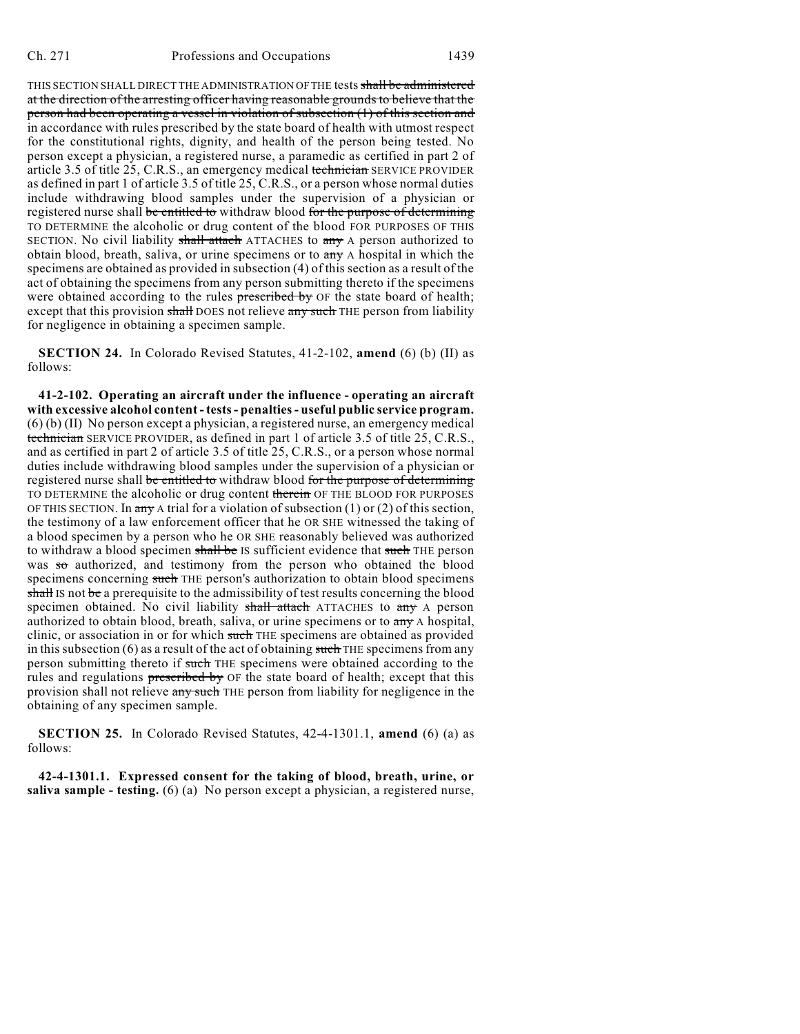THIS SECTION SHALL DIRECT THE ADMINISTRATION OF THE tests shall be administered at the direction of the arresting officer having reasonable grounds to believe that the person had been operating a vessel in violation of subsection (1) of this section and in accordance with rules prescribed by the state board of health with utmost respect for the constitutional rights, dignity, and health of the person being tested. No person except a physician, a registered nurse, a paramedic as certified in part 2 of article 3.5 of title 25, C.R.S., an emergency medical technician SERVICE PROVIDER as defined in part 1 of article 3.5 of title 25, C.R.S., or a person whose normal duties include withdrawing blood samples under the supervision of a physician or registered nurse shall be entitled to withdraw blood for the purpose of determining TO DETERMINE the alcoholic or drug content of the blood FOR PURPOSES OF THIS SECTION. No civil liability shall attach ATTACHES to any A person authorized to obtain blood, breath, saliva, or urine specimens or to  $\frac{dy}{dx}$  A hospital in which the specimens are obtained as provided in subsection (4) of this section as a result of the act of obtaining the specimens from any person submitting thereto if the specimens were obtained according to the rules prescribed by OF the state board of health; except that this provision shall DOES not relieve any such THE person from liability for negligence in obtaining a specimen sample.

**SECTION 24.** In Colorado Revised Statutes, 41-2-102, **amend** (6) (b) (II) as follows:

**41-2-102. Operating an aircraft under the influence - operating an aircraft with excessive alcohol content - tests- penalties- useful public service program.** (6) (b) (II) No person except a physician, a registered nurse, an emergency medical technician SERVICE PROVIDER, as defined in part 1 of article 3.5 of title 25, C.R.S., and as certified in part 2 of article 3.5 of title 25, C.R.S., or a person whose normal duties include withdrawing blood samples under the supervision of a physician or registered nurse shall be entitled to withdraw blood for the purpose of determining TO DETERMINE the alcoholic or drug content therein OF THE BLOOD FOR PURPOSES OF THIS SECTION. In any A trial for a violation of subsection  $(1)$  or  $(2)$  of this section, the testimony of a law enforcement officer that he OR SHE witnessed the taking of a blood specimen by a person who he OR SHE reasonably believed was authorized to withdraw a blood specimen shall be IS sufficient evidence that such THE person was so authorized, and testimony from the person who obtained the blood specimens concerning such THE person's authorization to obtain blood specimens shall IS not be a prerequisite to the admissibility of test results concerning the blood specimen obtained. No civil liability shall attach ATTACHES to any A person authorized to obtain blood, breath, saliva, or urine specimens or to any A hospital, clinic, or association in or for which such THE specimens are obtained as provided in this subsection  $(6)$  as a result of the act of obtaining such THE specimens from any person submitting thereto if such THE specimens were obtained according to the rules and regulations prescribed by OF the state board of health; except that this provision shall not relieve any such THE person from liability for negligence in the obtaining of any specimen sample.

**SECTION 25.** In Colorado Revised Statutes, 42-4-1301.1, **amend** (6) (a) as follows:

**42-4-1301.1. Expressed consent for the taking of blood, breath, urine, or saliva sample - testing.** (6) (a) No person except a physician, a registered nurse,